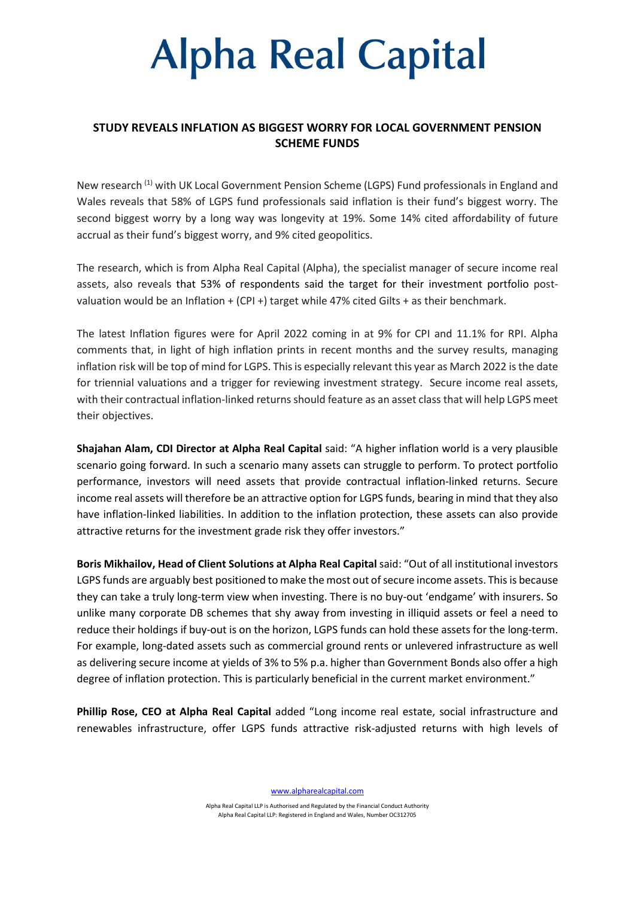## **Alpha Real Capital**

### STUDY REVEALS INFLATION AS BIGGEST WORRY FOR LOCAL GOVERNMENT PENSION SCHEME FUNDS

New research (1) with UK Local Government Pension Scheme (LGPS) Fund professionals in England and Wales reveals that 58% of LGPS fund professionals said inflation is their fund's biggest worry. The second biggest worry by a long way was longevity at 19%. Some 14% cited affordability of future accrual as their fund's biggest worry, and 9% cited geopolitics.

The research, which is from Alpha Real Capital (Alpha), the specialist manager of secure income real assets, also reveals that 53% of respondents said the target for their investment portfolio postvaluation would be an Inflation + (CPI +) target while 47% cited Gilts + as their benchmark.

The latest Inflation figures were for April 2022 coming in at 9% for CPI and 11.1% for RPI. Alpha comments that, in light of high inflation prints in recent months and the survey results, managing inflation risk will be top of mind for LGPS. This is especially relevant this year as March 2022 is the date for triennial valuations and a trigger for reviewing investment strategy. Secure income real assets, with their contractual inflation-linked returns should feature as an asset class that will help LGPS meet their objectives.

Shajahan Alam, CDI Director at Alpha Real Capital said: "A higher inflation world is a very plausible scenario going forward. In such a scenario many assets can struggle to perform. To protect portfolio performance, investors will need assets that provide contractual inflation-linked returns. Secure income real assets will therefore be an attractive option for LGPS funds, bearing in mind that they also have inflation-linked liabilities. In addition to the inflation protection, these assets can also provide attractive returns for the investment grade risk they offer investors."

Boris Mikhailov, Head of Client Solutions at Alpha Real Capital said: "Out of all institutional investors LGPS funds are arguably best positioned to make the most out of secure income assets. This is because they can take a truly long-term view when investing. There is no buy-out 'endgame' with insurers. So unlike many corporate DB schemes that shy away from investing in illiquid assets or feel a need to reduce their holdings if buy-out is on the horizon, LGPS funds can hold these assets for the long-term. For example, long-dated assets such as commercial ground rents or unlevered infrastructure as well as delivering secure income at yields of 3% to 5% p.a. higher than Government Bonds also offer a high degree of inflation protection. This is particularly beneficial in the current market environment."

Phillip Rose, CEO at Alpha Real Capital added "Long income real estate, social infrastructure and renewables infrastructure, offer LGPS funds attractive risk-adjusted returns with high levels of

www.alpharealcapital.com

Alpha Real Capital LLP is Authorised and Regulated by the Financial Conduct Authority Alpha Real Capital LLP: Registered in England and Wales, Number OC312705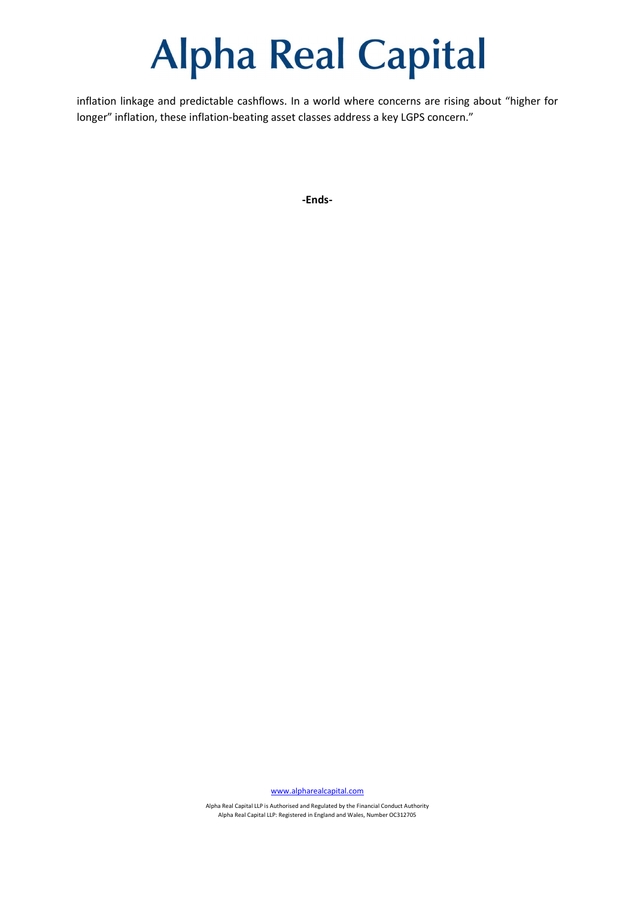### **Alpha Real Capital**

inflation linkage and predictable cashflows. In a world where concerns are rising about "higher for longer" inflation, these inflation-beating asset classes address a key LGPS concern."

-Ends-

www.alpharealcapital.com

Alpha Real Capital LLP is Authorised and Regulated by the Financial Conduct Authority Alpha Real Capital LLP: Registered in England and Wales, Number OC312705